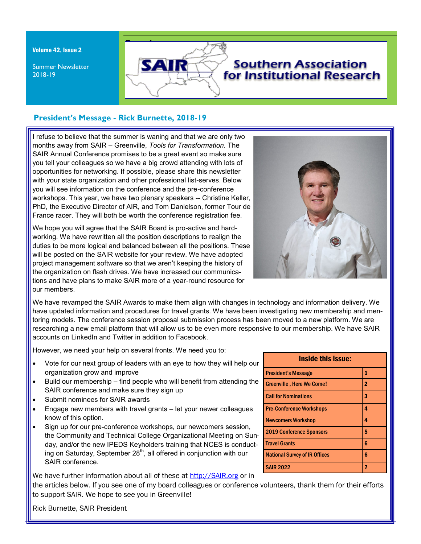Volume 42, Issue 2

Summer Newsletter 2018-19



## **President's Message - Rick Burnette, 2018-19**

I refuse to believe that the summer is waning and that we are only two months away from SAIR – Greenville, *Tools for Transformation.* The SAIR Annual Conference promises to be a great event so make sure you tell your colleagues so we have a big crowd attending with lots of opportunities for networking. If possible, please share this newsletter with your state organization and other professional list-serves. Below you will see information on the conference and the pre-conference workshops. This year, we have two plenary speakers -- Christine Keller, PhD, the Executive Director of AIR, and Tom Danielson, former Tour de France racer. They will both be worth the conference registration fee.

We hope you will agree that the SAIR Board is pro-active and hardworking. We have rewritten all the position descriptions to realign the duties to be more logical and balanced between all the positions. These will be posted on the SAIR website for your review. We have adopted project management software so that we aren't keeping the history of the organization on flash drives. We have increased our communications and have plans to make SAIR more of a year-round resource for our members.



We have revamped the SAIR Awards to make them align with changes in technology and information delivery. We have updated information and procedures for travel grants. We have been investigating new membership and mentoring models. The conference session proposal submission process has been moved to a new platform. We are researching a new email platform that will allow us to be even more responsive to our membership. We have SAIR accounts on LinkedIn and Twitter in addition to Facebook.

However, we need your help on several fronts. We need you to:

- Vote for our next group of leaders with an eye to how they will help our organization grow and improve
- Build our membership find people who will benefit from attending the SAIR conference and make sure they sign up
- Submit nominees for SAIR awards
- Engage new members with travel grants let your newer colleagues know of this option.
- Sign up for our pre-conference workshops, our newcomers session, the Community and Technical College Organizational Meeting on Sunday, and/or the new IPEDS Keyholders training that NCES is conducting on Saturday, September 28<sup>th</sup>, all offered in conjunction with our SAIR conference.

We have further information about all of these at<http://SAIR.org> or in

the articles below. If you see one of my board colleagues or conference volunteers, thank them for their efforts to support SAIR. We hope to see you in Greenville!

| <b>Inside this issue:</b>            |                |  |  |
|--------------------------------------|----------------|--|--|
| <b>President's Message</b>           | 1              |  |  |
| <b>Greenville, Here We Come!</b>     | $\overline{2}$ |  |  |
| <b>Call for Nominations</b>          | 3              |  |  |
| <b>Pre-Conference Workshops</b>      | 4              |  |  |
| <b>Newcomers Workshop</b>            | 4              |  |  |
| <b>2019 Conference Sponsors</b>      | 5              |  |  |
| <b>Travel Grants</b>                 | 6              |  |  |
| <b>National Survey of IR Offices</b> | 6              |  |  |
| <b>SAIR 2022</b>                     | 7              |  |  |

Rick Burnette, SAIR President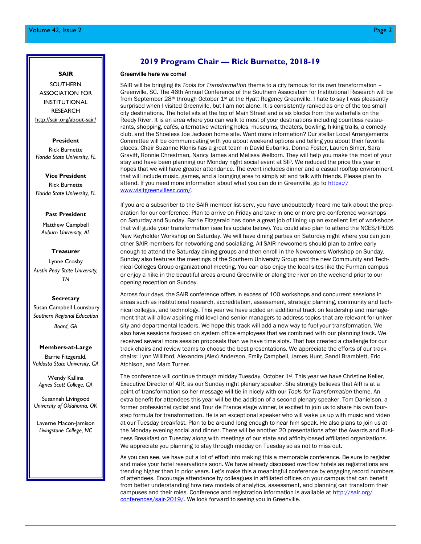# **SAIR**

SOUTHERN ASSOCIATION FOR INSTITUTIONAL RESEARCH [http://sair.org/about-sair/](http://www.sair.org)

#### **[President](http://www.sair.org)**

[Rick Burnette](http://www.sair.org) *[Florida State University, FL](http://www.sair.org)*

**[Vice President](http://www.sair.org)** [Rick Burnette](http://www.sair.org) *[Florida State University, FL](http://www.sair.org)*

#### **[Past President](http://www.sair.org)**

[Matthew Campbell](http://www.sair.org) *[Auburn University, AL](http://www.sair.org)*

#### **[Treasurer](http://www.sair.org)**

[Lynne Crosby](http://www.sair.org) *[Austin Peay State University,](http://www.sair.org)  [TN](http://www.sair.org)*

#### **[Secretary](http://www.sair.org)**

[Susan Campbell Lounsbury](http://www.sair.org) *[Southern Regional Education](http://www.sair.org)* 

*[Board, GA](http://www.sair.org)*

#### **[Members-at-Large](http://www.sair.org)**

[Barrie Fitzgerald,](http://www.sair.org) *[Valdosta State University, GA](http://www.sair.org)*

[Wendy Kallina](http://www.sair.org) *[Agnes Scott College, GA](http://www.sair.org)*

[Susannah Livingood](http://www.sair.org) *[University of Oklahoma, OK](http://www.sair.org)*

Laverne Macon-Jamison *Livingstone College, NC*

## **2019 Program Chair — Rick Burnette, 2018-19**

#### Greenville here we come!

SAIR will be bringing its *Tools for Transformation* theme to a city famous for its own transformation – Greenville, SC. The 46th Annual Conference of the Southern Association for Institutional Research will be from September 28<sup>th</sup> through October 1<sup>st</sup> at the Hyatt Regency Greenville. I hate to say I was pleasantly surprised when I visited Greenville, but I am not alone. It is consistently ranked as one of the top small city destinations. The hotel sits at the top of Main Street and is six blocks from the waterfalls on the Reedy River. It is an area where you can walk to most of your destinations including countless restaurants, shopping, cafés, alternative watering holes, museums, theaters, bowling, hiking trails, a comedy club, and the Shoeless Joe Jackson home site. Want more information? Our stellar Local Arrangements Committee will be communicating with you about weekend options and telling you about their favorite places. Chair Suzanne Klonis has a great team in David Eubanks, Donna Foster, Lauren Simer, Sara Gravitt, Ronnie Chrestman, Nancy James and Melissa Welborn. They will help you make the most of your stay and have been planning our Monday night social event at SIP. We reduced the price this year in hopes that we will have greater attendance. The event includes dinner and a casual rooftop environment that will include music, games, and a lounging area to simply sit and talk with friends. Please plan to attend. If you need more information about what you can do in Greenville, go to [https://](https://www.visitgreenvillesc.com/) [www.visitgreenvillesc.com/.](https://www.visitgreenvillesc.com/)

If you are a subscriber to the SAIR member list-serv, you have undoubtedly heard me talk about the preparation for our conference. Plan to arrive on Friday and take in one or more pre-conference workshops on Saturday and Sunday. Barrie Fitzgerald has done a great job of lining up an excellent list of workshops that will guide your transformation (see his update below). You could also plan to attend the NCES/IPEDS New Keyholder Workshop on Saturday. We will have dining parties on Saturday night where you can join other SAIR members for networking and socializing. All SAIR newcomers should plan to arrive early enough to attend the Saturday dining groups and then enroll in the Newcomers Workshop on Sunday. Sunday also features the meetings of the Southern University Group and the new Community and Technical Colleges Group organizational meeting. You can also enjoy the local sites like the Furman campus or enjoy a hike in the beautiful areas around Greenville or along the river on the weekend prior to our opening reception on Sunday.

Across four days, the SAIR conference offers in excess of 100 workshops and concurrent sessions in areas such as institutional research, accreditation, assessment, strategic planning, community and technical colleges, and technology. This year we have added an additional track on leadership and management that will allow aspiring mid-level and senior managers to address topics that are relevant for university and departmental leaders. We hope this track will add a new way to fuel your transformation. We also have sessions focused on system office employees that we combined with our planning track. We received several more session proposals than we have time slots. That has created a challenge for our track chairs and review teams to choose the best presentations. We appreciate the efforts of our track chairs: Lynn Williford, Alexandra (Alex) Anderson, Emily Campbell, James Hunt, Sandi Bramblett, Eric Atchison, and Marc Turner.

The conference will continue through midday Tuesday, October 1<sup>st</sup>. This year we have Christine Keller, Executive Director of AIR, as our Sunday night plenary speaker. She strongly believes that AIR is at a point of transformation so her message will tie in nicely with our *Tools for Transformation* theme. An extra benefit for attendees this year will be the addition of a second plenary speaker. Tom Danielson, a former professional cyclist and Tour de France stage winner, is excited to join us to share his own fourstep formula for transformation. He is an exceptional speaker who will wake us up with music and video at our Tuesday breakfast. Plan to be around long enough to hear him speak. He also plans to join us at the Monday evening social and dinner. There will be another 20 presentations after the Awards and Business Breakfast on Tuesday along with meetings of our state and affinity-based affiliated organizations. We appreciate you planning to stay through midday on Tuesday so as not to miss out.

As you can see, we have put a lot of effort into making this a memorable conference. Be sure to register and make your hotel reservations soon. We have already discussed overflow hotels as registrations are trending higher than in prior years. Let's make this a meaningful conference by engaging record numbers of attendees. Encourage attendance by colleagues in affiliated offices on your campus that can benefit from better understanding how new models of analytics, assessment, and planning can transform their campuses and their roles. Conference and registration information is available at [http://sair.org/](http://sair.org/conferences/sair-2019/) [conferences/sair-2019/.](http://sair.org/conferences/sair-2019/) We look forward to seeing you in Greenville.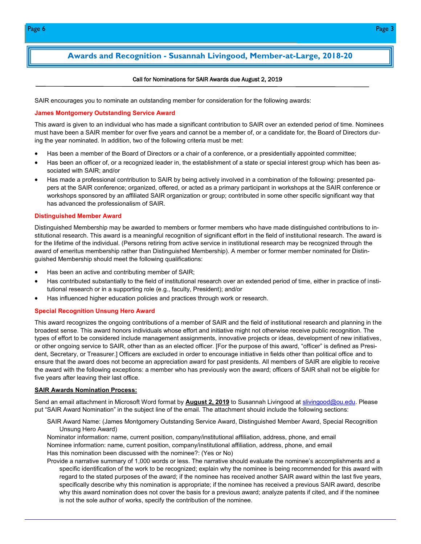## **Awards and Recognition - Susannah Livingood, Member-at-Large, 2018-20**

#### Call for Nominations for SAIR Awards due August 2, 2019

SAIR encourages you to nominate an outstanding member for consideration for the following awards:

#### **James Montgomery Outstanding Service Award**

This award is given to an individual who has made a significant contribution to SAIR over an extended period of time. Nominees must have been a SAIR member for over five years and cannot be a member of, or a candidate for, the Board of Directors during the year nominated. In addition, two of the following criteria must be met:

- Has been a member of the Board of Directors or a chair of a conference, or a presidentially appointed committee;
- Has been an officer of, or a recognized leader in, the establishment of a state or special interest group which has been associated with SAIR; and/or
- Has made a professional contribution to SAIR by being actively involved in a combination of the following: presented papers at the SAIR conference; organized, offered, or acted as a primary participant in workshops at the SAIR conference or workshops sponsored by an affiliated SAIR organization or group; contributed in some other specific significant way that has advanced the professionalism of SAIR.

#### **Distinguished Member Award**

Distinguished Membership may be awarded to members or former members who have made distinguished contributions to institutional research. This award is a meaningful recognition of significant effort in the field of institutional research. The award is for the lifetime of the individual. (Persons retiring from active service in institutional research may be recognized through the award of emeritus membership rather than Distinguished Membership). A member or former member nominated for Distinguished Membership should meet the following qualifications:

- Has been an active and contributing member of SAIR;
- Has contributed substantially to the field of institutional research over an extended period of time, either in practice of institutional research or in a supporting role (e.g., faculty, President); and/or
- Has influenced higher education policies and practices through work or research.

#### **Special Recognition Unsung Hero Award**

This award recognizes the ongoing contributions of a member of SAIR and the field of institutional research and planning in the broadest sense. This award honors individuals whose effort and initiative might not otherwise receive public recognition. The types of effort to be considered include management assignments, innovative projects or ideas, development of new initiatives, or other ongoing service to SAIR, other than as an elected officer. [For the purpose of this award, "officer" is defined as President, Secretary, or Treasurer.] Officers are excluded in order to encourage initiative in fields other than political office and to ensure that the award does not become an appreciation award for past presidents. All members of SAIR are eligible to receive the award with the following exceptions: a member who has previously won the award; officers of SAIR shall not be eligible for five years after leaving their last office.

#### **SAIR Awards Nomination Process:**

Send an email attachment in Microsoft Word format by **August 2, 2019** to Susannah Livingood at [slivingood@ou.edu.](mailto:slivingood@ou.edu) Please put "SAIR Award Nomination" in the subject line of the email. The attachment should include the following sections:

SAIR Award Name: (James Montgomery Outstanding Service Award, Distinguished Member Award, Special Recognition Unsung Hero Award)

Nominator information: name, current position, company/institutional affiliation, address, phone, and email Nominee information: name, current position, company/institutional affiliation, address, phone, and email Has this nomination been discussed with the nominee?: (Yes or No)

Provide a narrative summary of 1,000 words or less. The narrative should evaluate the nominee's accomplishments and a specific identification of the work to be recognized; explain why the nominee is being recommended for this award with regard to the stated purposes of the award; if the nominee has received another SAIR award within the last five years, specifically describe why this nomination is appropriate; if the nominee has received a previous SAIR award, describe why this award nomination does not cover the basis for a previous award; analyze patents if cited, and if the nominee is not the sole author of works, specify the contribution of the nominee.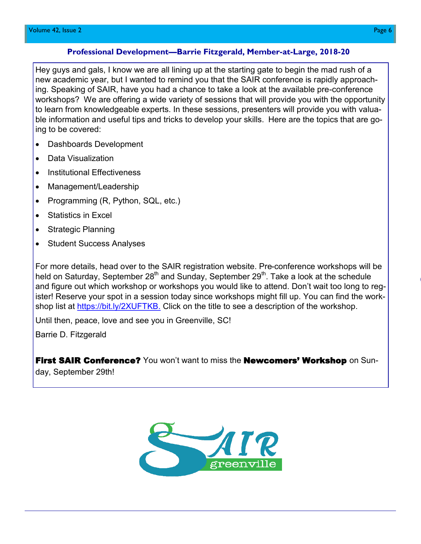### **Professional Development—Barrie Fitzgerald, Member-at-Large, 2018-20**

Hey guys and gals, I know we are all lining up at the starting gate to begin the mad rush of a new academic year, but I wanted to remind you that the SAIR conference is rapidly approaching. Speaking of SAIR, have you had a chance to take a look at the available pre-conference workshops? We are offering a wide variety of sessions that will provide you with the opportunity to learn from knowledgeable experts. In these sessions, presenters will provide you with valuable information and useful tips and tricks to develop your skills. Here are the topics that are going to be covered:

- Dashboards Development
- Data Visualization
- Institutional Effectiveness
- Management/Leadership
- Programming (R, Python, SQL, etc.)
- Statistics in Excel
- Strategic Planning
- Student Success Analyses

For more details, head over to the SAIR registration website. Pre-conference workshops will be held on Saturday, September 28<sup>th</sup> and Sunday, September 29<sup>th</sup>. Take a look at the schedule and figure out which workshop or workshops you would like to attend. Don't wait too long to register! Reserve your spot in a session today since workshops might fill up. You can find the workshop list at [https://bit.ly/2XUFTKB.](https://bit.ly/2XUFTKB) Click on the title to see a description of the workshop.

Until then, peace, love and see you in Greenville, SC!

Barrie D. Fitzgerald

**First SAIR Conference?** You won't want to miss the **Newcomers' Workshop** on Sun-

day, September 29th!

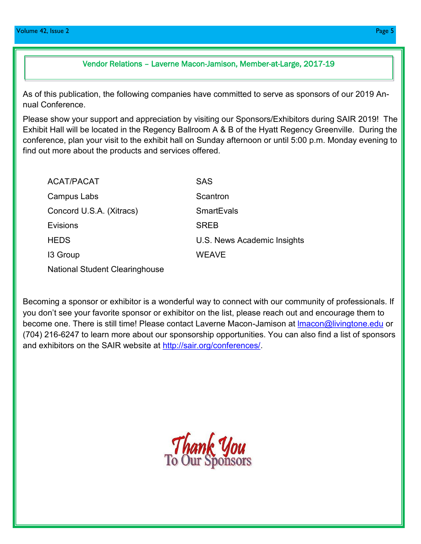## Vendor Relations – Laverne Macon-Jamison, Member-at-Large, 2017-19

As of this publication, the following companies have committed to serve as sponsors of our 2019 Annual Conference.

Please show your support and appreciation by visiting our Sponsors/Exhibitors during SAIR 2019! The Exhibit Hall will be located in the Regency Ballroom A & B of the Hyatt Regency Greenville. During the conference, plan your visit to the exhibit hall on Sunday afternoon or until 5:00 p.m. Monday evening to find out more about the products and services offered.

| ACAT/PACAT                            | <b>SAS</b>                  |
|---------------------------------------|-----------------------------|
| Campus Labs                           | Scantron                    |
| Concord U.S.A. (Xitracs)              | <b>SmartEvals</b>           |
| Evisions                              | <b>SREB</b>                 |
| <b>HEDS</b>                           | U.S. News Academic Insights |
| 13 Group                              | <b>WEAVE</b>                |
| <b>National Student Clearinghouse</b> |                             |

Becoming a sponsor or exhibitor is a wonderful way to connect with our community of professionals. If you don't see your favorite sponsor or exhibitor on the list, please reach out and encourage them to become one. There is still time! Please contact Laverne Macon-Jamison at Imacon@livingtone.edu or (704) 216-6247 to learn more about our sponsorship opportunities. You can also find a list of sponsors and exhibitors on the SAIR website at [http://sair.org/conferences/.](http://sair.org/conferences/sair-2019/)

Thank You<br>To Our Sponsors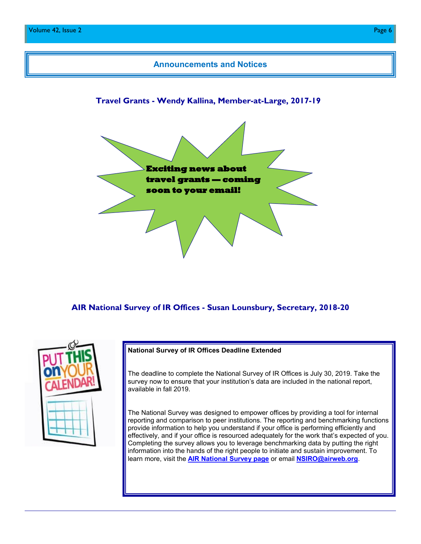

## **AIR National Survey of IR Offices - Susan Lounsbury, Secretary, 2018-20**

### **National Survey of IR Offices Deadline Extended**

The deadline to complete the National Survey of IR Offices is July 30, 2019. Take the survey now to ensure that your institution's data are included in the national report, available in fall 2019.

The National Survey was designed to empower offices by providing a tool for internal reporting and comparison to peer institutions. The reporting and benchmarking functions provide information to help you understand if your office is performing efficiently and effectively, and if your office is resourced adequately for the work that's expected of you. Completing the survey allows you to leverage benchmarking data by putting the right information into the hands of the right people to initiate and sustain improvement. To learn more, visit the **[AIR National Survey page](https://www.airweb.org/collaborate-learn/research-initiatives/national-survey-of-ir-offices-benchmarking-tool)** or email **[NSIRO@airweb.org](mailto:NSIRO@airweb.org)**.